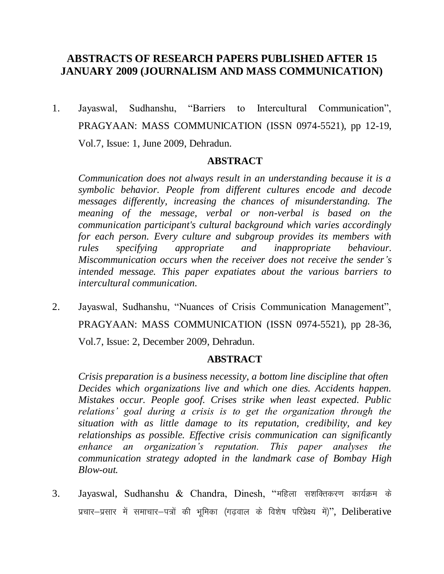# **ABSTRACTS OF RESEARCH PAPERS PUBLISHED AFTER 15 JANUARY 2009 (JOURNALISM AND MASS COMMUNICATION)**

1. Jayaswal, Sudhanshu, "Barriers to Intercultural Communication", PRAGYAAN: MASS COMMUNICATION (ISSN 0974-5521), pp 12-19, Vol.7, Issue: 1, June 2009, Dehradun.

# **ABSTRACT**

*Communication does not always result in an understanding because it is a symbolic behavior. People from different cultures encode and decode messages differently, increasing the chances of misunderstanding. The meaning of the message, verbal or non-verbal is based on the communication participant's cultural background which varies accordingly for each person. Every culture and subgroup provides its members with rules specifying appropriate and inappropriate behaviour. Miscommunication occurs when the receiver does not receive the sender's intended message. This paper expatiates about the various barriers to intercultural communication.*

2. Jayaswal, Sudhanshu, "Nuances of Crisis Communication Management", PRAGYAAN: MASS COMMUNICATION (ISSN 0974-5521), pp 28-36, Vol.7, Issue: 2, December 2009, Dehradun.

# **ABSTRACT**

*Crisis preparation is a business necessity, a bottom line discipline that often Decides which organizations live and which one dies. Accidents happen. Mistakes occur. People goof. Crises strike when least expected. Public relations' goal during a crisis is to get the organization through the situation with as little damage to its reputation, credibility, and key relationships as possible. Effective crisis communication can significantly enhance an organization's reputation. This paper analyses the communication strategy adopted in the landmark case of Bombay High Blow-out.*

3. Jayaswal, Sudhanshu & Chandra, Dinesh, "महिला सशक्तिकरण कार्यक्रम के प्रचार-प्रसार में समाचार-पत्रों की भूमिका (गढवाल के विशेष परिप्रेक्ष्य में)", Deliberative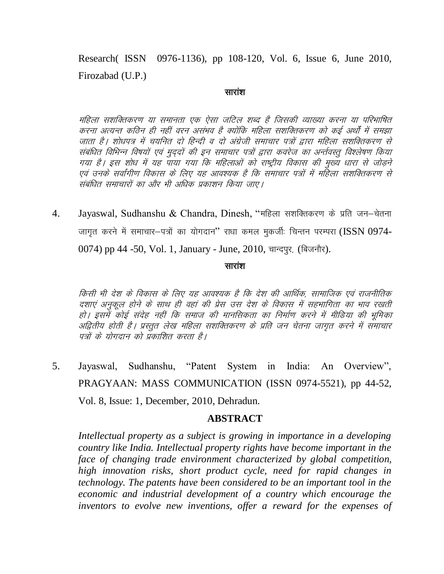Research( ISSN 0976-1136), pp 108-120, Vol. 6, Issue 6, June 2010, Firozabad (U.P.)

#### सारांश

महिला सशक्तिकरण या समानता एक ऐसा जटिल शब्द है जिसकी व्याख्या करना या परिभाषित करना अत्यन्त कठिन ही नहीं वरन असंभव है क्योंकि महिला सशक्तिकरण को कई अर्थों में समझा जाता है। शोधपत्र में चयनित दो हिन्दी व दो अंग्रेजी समाचार पत्रों द्वारा महिला सशक्तिकरण से संबंधित विभिन्न विषयों एवं मुददों की इन समाचार पत्रों द्वारा कवरेज का अर्न्तवस्तु विश्लेषण किया गया है। इस शोध में यह पाया गया कि महिलाओं को राष्ट्रीय विकास की मुख्य धारा से जोड़ने एवं उनके सर्वांगीण विकास के लिए यह आवश्यक है कि समाचार पत्रों में महिला सशक्तिकरण से संबंधित समाचारों का और भी अधिक प्रकाशन किया जाए।

4. Jayaswal, Sudhanshu & Chandra, Dinesh, "महिला सशक्तिकरण के प्रति जन-चेतना जागृत करने में समाचार-पत्रों का योगदान" राधा कमल मुकर्जीः चिन्तन परम्परा (ISSN 0974-0074) pp 44 -50, Vol. 1, January - June, 2010, चान्दपुर, (बिजनौर).

#### सारांश

किसी भी देश के विकास के लिए यह आवश्यक है कि देश की आर्थिक, सामाजिक एवं राजनीतिक दशाएं अनुकूल होने के साथ ही वहां की प्रेस उस देश के विकास में सहभागिता का भाव रखती हो। इसमें कोई संदेह नहीं कि समाज की मानसिकता का निर्माण करने में मीडिया की भूमिका अद्वितीय होती है। प्रस्तुत लेख महिला सशक्तिकरण के प्रति जन चेतना जागुत करने में संमाचार पत्रों के योगदान को प्रकाशित करता है।

5. Jayaswal, Sudhanshu, "Patent System in India: An Overview", PRAGYAAN: MASS COMMUNICATION (ISSN 0974-5521), pp 44-52, Vol. 8, Issue: 1, December, 2010, Dehradun.

### **ABSTRACT**

*Intellectual property as a subject is growing in importance in a developing country like India. Intellectual property rights have become important in the face of changing trade environment characterized by global competition, high innovation risks, short product cycle, need for rapid changes in technology. The patents have been considered to be an important tool in the economic and industrial development of a country which encourage the inventors to evolve new inventions, offer a reward for the expenses of*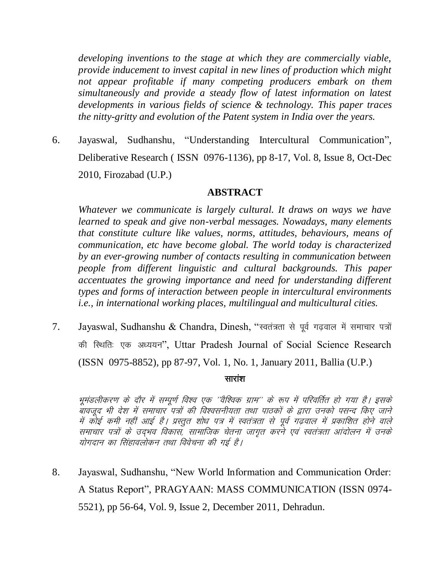*developing inventions to the stage at which they are commercially viable, provide inducement to invest capital in new lines of production which might not appear profitable if many competing producers embark on them simultaneously and provide a steady flow of latest information on latest developments in various fields of science & technology. This paper traces the nitty-gritty and evolution of the Patent system in India over the years.*

6. Jayaswal, Sudhanshu, "Understanding Intercultural Communication", Deliberative Research ( ISSN 0976-1136), pp 8-17, Vol. 8, Issue 8, Oct-Dec 2010, Firozabad (U.P.)

### **ABSTRACT**

*Whatever we communicate is largely cultural. It draws on ways we have learned to speak and give non-verbal messages. Nowadays, many elements that constitute culture like values, norms, attitudes, behaviours, means of communication, etc have become global. The world today is characterized by an ever-growing number of contacts resulting in communication between people from different linguistic and cultural backgrounds. This paper accentuates the growing importance and need for understanding different types and forms of interaction between people in intercultural environments i.e., in international working places, multilingual and multicultural cities.*

7. Jayaswal, Sudhanshu & Chandra, Dinesh, "स्वतंत्रता से पूर्व गढवाल में समाचार पत्रों की स्थितिः एक अध्ययन", Uttar Pradesh Journal of Social Science Research (ISSN 0975-8852), pp 87-97, Vol. 1, No. 1, January 2011, Ballia (U.P.)

#### सारांश

भूमंडलीकरण के दौर में सम्पूर्ण विश्व एक 'वैश्विक ग्राम'' के रूप में परिवर्तित हो गया है। इसके ्<br>बावजूद भी देश में समाचार पत्रों की विश्वसनीयता तथा पाठकों के द्वारा उनको पसन्द किए जाने में कोई कमी नहीं आई है। प्रस्तूत शोध पत्र में स्वतंत्रता से पूर्व गढ़वाल में प्रकाशित होने वाले समाचार पत्रों के उदभव विकास, सामाजिक चेतना जागृत करने एवं स्वतंत्रता आंदोलन में उनके योगदान का सिंहावलोकन तथा विवेचना की गई है।

8. Jayaswal, Sudhanshu, "New World Information and Communication Order: A Status Report", PRAGYAAN: MASS COMMUNICATION (ISSN 0974- 5521), pp 56-64, Vol. 9, Issue 2, December 2011, Dehradun.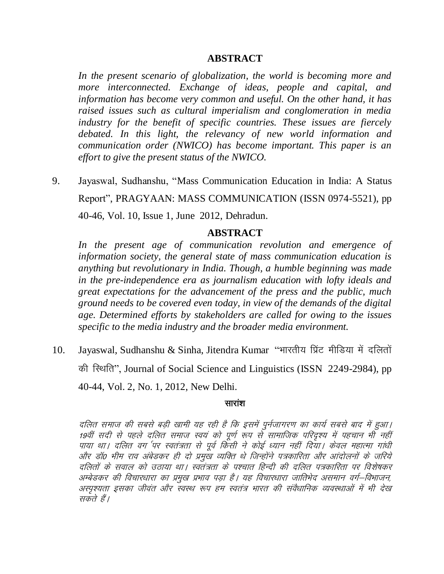In the present scenario of globalization, the world is becoming more and more interconnected. Exchange of ideas, people and capital, and information has become very common and useful. On the other hand, it has raised issues such as cultural imperialism and conglomeration in media industry for the benefit of specific countries. These issues are fiercely debated. In this light, the relevancy of new world information and communication order (NWICO) has become important. This paper is an effort to give the present status of the NWICO.

9. Jayaswal, Sudhanshu, "Mass Communication Education in India: A Status Report", PRAGYAAN: MASS COMMUNICATION (ISSN 0974-5521), pp 40-46, Vol. 10, Issue 1, June 2012, Dehradun.

### **ABSTRACT**

In the present age of communication revolution and emergence of information society, the general state of mass communication education is anything but revolutionary in India. Though, a humble beginning was made in the pre-independence era as journalism education with lofty ideals and great expectations for the advancement of the press and the public, much ground needs to be covered even today, in view of the demands of the digital age. Determined efforts by stakeholders are called for owing to the issues specific to the media industry and the broader media environment.

Jayaswal, Sudhanshu & Sinha, Jitendra Kumar "भारतीय प्रिंट मीडिया में दलितों 10. की स्थिति", Journal of Social Science and Linguistics (ISSN 2249-2984), pp 40-44, Vol. 2, No. 1, 2012, New Delhi.

### सारांश

दलित समाज की सबसे बड़ी खामी यह रही है कि इसमें पुर्नजागरण का कार्य सबसे बाद में हुआ। 19वीं सदी से पहले दलित समाज स्वयं को पूर्ण रूप से सामाजिक परिदृश्य में पहचान भी नहीं पाया था। दलित वर्ग पर स्वतंत्रता से पूर्व किंसी ने कोई ध्यान नहीं दिया। केवल महात्मा गांधी और डॉ0 भीम राव अंबेडकर ही दो प्रमुख व्यक्ति थे जिन्होंने पत्रकारिता और आंदोलनों के जरिये दलितों के सवाल को उठाया था। स्वतंत्रता के पश्चात हिन्दी की दलित पत्रकारिता पर विशेषकर अम्बेडकर की विचारधारा का प्रमुख प्रभाव पड़ा है। यह विचारधारा जातिभेद असमान वर्ग—विभाजन, अस्पृश्यता इसका जीवंत और स्वस्थ रूप हम स्वतंत्र भारत की संवैधानिक व्यवस्थाओं में भी देख सकते हैं।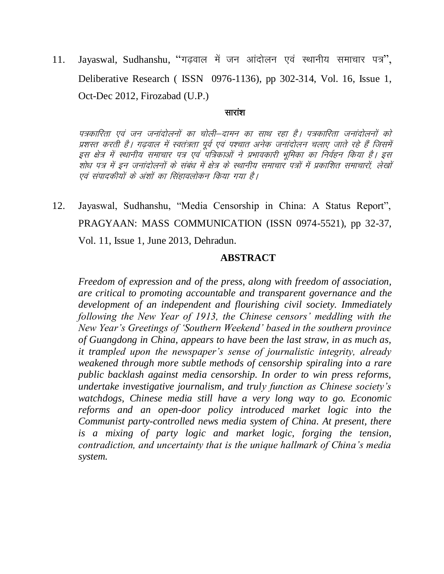11. Jayaswal, Sudhanshu, "गढ़वाल में जन आंदोलन एवं स्थानीय समाचार पत्र", Deliberative Research ( ISSN 0976-1136), pp 302-314, Vol. 16, Issue 1, Oct-Dec 2012, Firozabad (U.P.)

#### सारांश

पत्रकारिता एवं जन जनांदोलनों का चोली–दामन का साथ रहा है। पत्रकारिता जनांदोलनों को प्रशस्त करती है। गढवाल में स्वतंत्रता पूर्व एवं पश्चात अनेक जनांदोलन चलाए जाते रहे हैं जिसमें इस क्षेत्र में स्थानीय समाचार पत्र एवं पत्रिकाओं ने प्रभावकारी भूमिका का निर्वहन किया है। इस .<br>'सोध पत्र में इन जनांदोलनों के संबंध में क्षेत्र के स्थानीय समाचार पत्रों में प्रकाशित समाचारों, लेखों एवं संपादकीयों के अंशों का सिंहावलोकन किया गया है।

12. Jayaswal, Sudhanshu, "Media Censorship in China: A Status Report", PRAGYAAN: MASS COMMUNICATION (ISSN 0974-5521), pp 32-37, Vol. 11, Issue 1, June 2013, Dehradun.

### **ABSTRACT**

*Freedom of expression and of the press, along with freedom of association, are critical to promoting accountable and transparent governance and the development of an independent and flourishing civil society. Immediately following the New Year of 1913, the Chinese censors' meddling with the New Year's Greetings of 'Southern Weekend' based in the southern province of Guangdong in China, appears to have been the last straw, in as much as, it trampled upon the newspaper's sense of journalistic integrity, already weakened through more subtle methods of censorship spiraling into a rare public backlash against media censorship. In order to win press reforms, undertake investigative journalism, and truly function as Chinese society's watchdogs, Chinese media still have a very long way to go. Economic reforms and an open-door policy introduced market logic into the Communist party-controlled news media system of China. At present, there is a mixing of party logic and market logic, forging the tension, contradiction, and uncertainty that is the unique hallmark of China's media system.*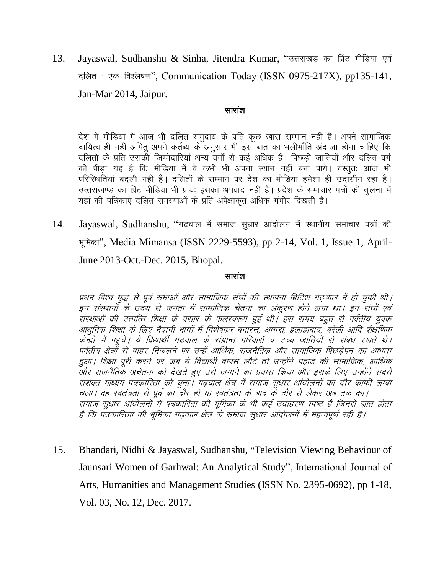13. Jayaswal, Sudhanshu & Sinha, Jitendra Kumar, "उत्तराखंड का प्रिंट मीडिया एवं दलित : एक विश्लेषण", Communication Today (ISSN 0975-217X), pp135-141, Jan-Mar 2014, Jaipur.

#### सारांश

देश में मीडिया में आज भी दलित समुदाय के प्रति कुछ खास सम्मान नहीं है। अपने सामाजिक दायित्व ही नहीं अपितु अपने कर्तब्य के अनुसार भी इस बात का भलीभाँति अंदाजा होना चाहिए कि दलितों के प्रति उसकी जिम्मेदारियां अन्य वर्गों से कई अधिक हैं। पिछडी जातियों और दलित वर्ग की पीड़ा यह है कि मीडिया में वे कभी भी अपना स्थान नहीं बना पाये। वस्तुतः आज भी परिस्थितियां बदली नहीं है। दलितों के सम्मान पर देश का मीडिया हमेशा ही उदाँसीन रहा है। उत्तराखण्ड का प्रिंट मीडिया भी प्रायः इसका अपवाद नहीं है। प्रदेश के समाचार पत्रों की तुलना में यहां की पत्रिकाएं दलित समस्याओं के प्रति अपेक्षाकृत अधिक गंभीर दिखती है।

14. Jayaswal, Sudhanshu, "गढवाल में समाज सुधार आंदोलन में स्थानीय समाचार पत्रों की भूमिका", Media Mimansa (ISSN 2229-5593), pp 2-14, Vol. 1, Issue 1, April-June 2013-Oct.-Dec. 2015, Bhopal.

#### सारांश

प्रथम विश्व युद्ध से पूर्व सभाओं और सामाजिक संघों की स्थापना ब्रिटिश गढ़वाल में हो चुकी थी। इन संस्थानों के उदय से जनता में सामाजिक चेतना का अंकरण होने लगा था। इन संघों एवं ्<br>सस्थाओं की उत्पत्ति शिक्षा के प्रसार के फलस्वरूप हुई थी। इस समय बहुत से पर्वतीय युवक आधुनिक शिक्षा के लिए मैदानी भागों में विशेषकर बनारस, आगरा, इलाहाबाद, बरेली आदि शैक्षणिक केन्द्रों में पहुंचे। ये विद्यार्थी गढवाल के संभ्रान्त परिवारों व उच्च जातियों से संबंध रखते थे। पर्वतीय क्षेत्रों से बाहर निकलने पर उन्हें आर्थिक, राजनैतिक और सामाजिक पिछड़ेपन का आभास हुआ। शिक्षा पूरी करने पर जब ये विद्यार्थी वापस लौटे तो उन्होंने पहाड की सामाजिक, आर्थिक .<br>और राजनैतिक अचेतना को देखते हुए उसे जगाने का प्रयास किया और इसके लिए उन्होंने सबसे सशक्त माध्यम पत्रकारिता को चुना। गढवाल क्षेत्र में समाज सुधार आंदोलनों का दौर काफी लम्बा चला। वह स्वतंत्रता से पूर्व का दौर हो या स्वतंत्रता के बाद के दौर से लेकर अब तक का। समाज सुधार आंदोलनों में पत्रकारिता की भूमिका के भी कई उदाहरण स्पष्ट हैं जिनसे ज्ञात होता है कि पत्रकारिताा की भूमिका गढवाल क्षेत्र के समाज सुधार आंदोलनों में महत्वपूर्ण रही है।

15. Bhandari, Nidhi & Jayaswal, Sudhanshu, "Television Viewing Behaviour of Jaunsari Women of Garhwal: An Analytical Study", International Journal of Arts, Humanities and Management Studies (ISSN No. 2395-0692), pp 1-18, Vol. 03, No. 12, Dec. 2017.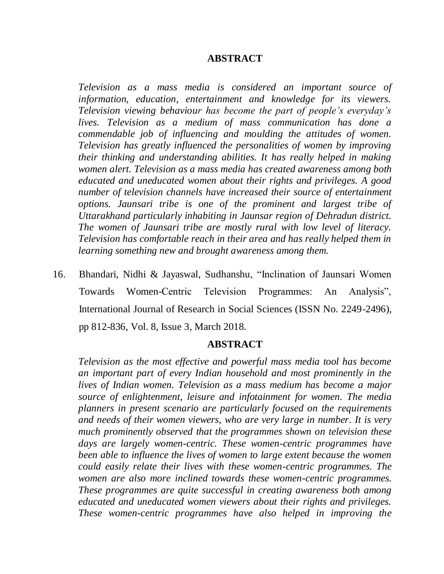*Television as a mass media is considered an important source of information, education, entertainment and knowledge for its viewers. Television viewing behaviour has become the part of people's everyday's lives. Television as a medium of mass communication has done a commendable job of influencing and moulding the attitudes of women. Television has greatly influenced the personalities of women by improving their thinking and understanding abilities. It has really helped in making women alert. Television as a mass media has created awareness among both educated and uneducated women about their rights and privileges. A good number of television channels have increased their source of entertainment options. Jaunsari tribe is one of the prominent and largest tribe of Uttarakhand particularly inhabiting in Jaunsar region of Dehradun district. The women of Jaunsari tribe are mostly rural with low level of literacy. Television has comfortable reach in their area and has really helped them in learning something new and brought awareness among them.* 

16. Bhandari, Nidhi & Jayaswal, Sudhanshu, "Inclination of Jaunsari Women Towards Women-Centric Television Programmes: An Analysis", International Journal of Research in Social Sciences (ISSN No. 2249-2496), pp 812-836, Vol. 8, Issue 3, March 2018.

### **ABSTRACT**

*Television as the most effective and powerful mass media tool has become an important part of every Indian household and most prominently in the lives of Indian women. Television as a mass medium has become a major source of enlightenment, leisure and infotainment for women. The media planners in present scenario are particularly focused on the requirements and needs of their women viewers, who are very large in number. It is very much prominently observed that the programmes shown on television these days are largely women-centric. These women-centric programmes have been able to influence the lives of women to large extent because the women could easily relate their lives with these women-centric programmes. The women are also more inclined towards these women-centric programmes. These programmes are quite successful in creating awareness both among educated and uneducated women viewers about their rights and privileges. These women-centric programmes have also helped in improving the*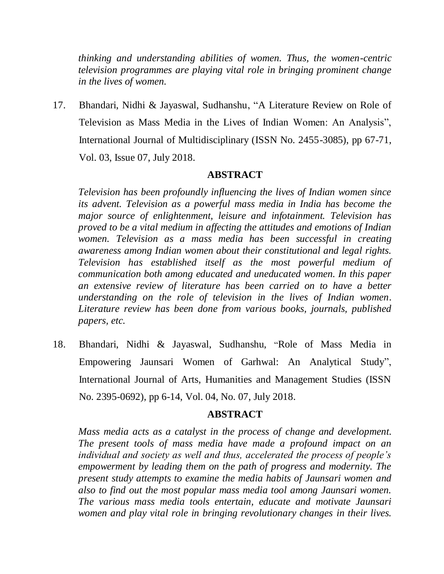*thinking and understanding abilities of women. Thus, the women-centric television programmes are playing vital role in bringing prominent change in the lives of women.* 

17. Bhandari, Nidhi & Jayaswal, Sudhanshu, "A Literature Review on Role of Television as Mass Media in the Lives of Indian Women: An Analysis", International Journal of Multidisciplinary (ISSN No. 2455-3085), pp 67-71, Vol. 03, Issue 07, July 2018.

# **ABSTRACT**

*Television has been profoundly influencing the lives of Indian women since its advent. Television as a powerful mass media in India has become the major source of enlightenment, leisure and infotainment. Television has proved to be a vital medium in affecting the attitudes and emotions of Indian women. Television as a mass media has been successful in creating awareness among Indian women about their constitutional and legal rights. Television has established itself as the most powerful medium of communication both among educated and uneducated women. In this paper an extensive review of literature has been carried on to have a better understanding on the role of television in the lives of Indian women. Literature review has been done from various books, journals, published papers, etc.*

18. Bhandari, Nidhi & Jayaswal, Sudhanshu, "Role of Mass Media in Empowering Jaunsari Women of Garhwal: An Analytical Study", International Journal of Arts, Humanities and Management Studies (ISSN No. 2395-0692), pp 6-14, Vol. 04, No. 07, July 2018.

### **ABSTRACT**

*Mass media acts as a catalyst in the process of change and development. The present tools of mass media have made a profound impact on an individual and society as well and thus, accelerated the process of people's empowerment by leading them on the path of progress and modernity. The present study attempts to examine the media habits of Jaunsari women and also to find out the most popular mass media tool among Jaunsari women. The various mass media tools entertain, educate and motivate Jaunsari women and play vital role in bringing revolutionary changes in their lives.*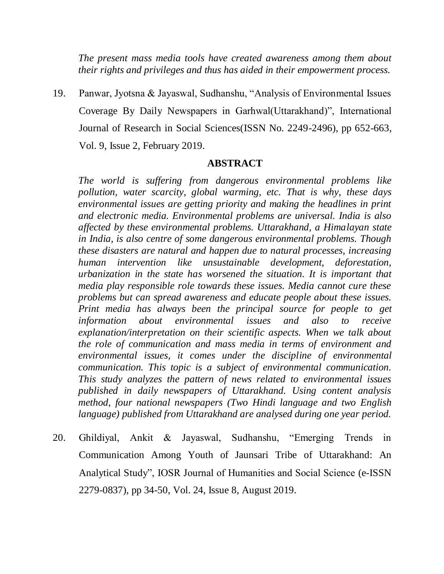*The present mass media tools have created awareness among them about their rights and privileges and thus has aided in their empowerment process.*

19. Panwar, Jyotsna & Jayaswal, Sudhanshu, "Analysis of Environmental Issues Coverage By Daily Newspapers in Garhwal(Uttarakhand)", International Journal of Research in Social Sciences(ISSN No. 2249-2496), pp 652-663, Vol. 9, Issue 2, February 2019.

### **ABSTRACT**

*The world is suffering from dangerous environmental problems like pollution, water scarcity, global warming, etc. That is why, these days environmental issues are getting priority and making the headlines in print and electronic media. Environmental problems are universal. India is also affected by these environmental problems. Uttarakhand, a Himalayan state in India, is also centre of some dangerous environmental problems. Though these disasters are natural and happen due to natural processes, increasing human intervention like unsustainable development, deforestation, urbanization in the state has worsened the situation. It is important that media play responsible role towards these issues. Media cannot cure these problems but can spread awareness and educate people about these issues. Print media has always been the principal source for people to get information about environmental issues and also to receive explanation/interpretation on their scientific aspects. When we talk about the role of communication and mass media in terms of environment and environmental issues, it comes under the discipline of environmental communication. This topic is a subject of environmental communication. This study analyzes the pattern of news related to environmental issues published in daily newspapers of Uttarakhand. Using content analysis method, four national newspapers (Two Hindi language and two English language) published from Uttarakhand are analysed during one year period.*

20. Ghildiyal, Ankit & Jayaswal, Sudhanshu, "Emerging Trends in Communication Among Youth of Jaunsari Tribe of Uttarakhand: An Analytical Study", IOSR Journal of Humanities and Social Science (e-ISSN 2279-0837), pp 34-50, Vol. 24, Issue 8, August 2019.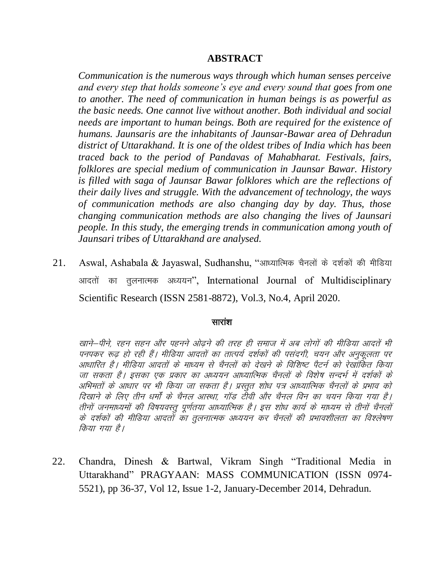*Communication is the numerous ways through which human senses perceive and every step that holds someone's eye and every sound that goes from one to another. The need of communication in human beings is as powerful as the basic needs. One cannot live without another. Both individual and social needs are important to human beings. Both are required for the existence of humans. Jaunsaris are the inhabitants of Jaunsar-Bawar area of Dehradun district of Uttarakhand. It is one of the oldest tribes of India which has been traced back to the period of Pandavas of Mahabharat. Festivals, fairs, folklores are special medium of communication in Jaunsar Bawar. History is filled with saga of Jaunsar Bawar folklores which are the reflections of their daily lives and struggle. With the advancement of technology, the ways of communication methods are also changing day by day. Thus, those changing communication methods are also changing the lives of Jaunsari people. In this study, the emerging trends in communication among youth of Jaunsari tribes of Uttarakhand are analysed.*

21. Aswal, Ashabala & Jayaswal, Sudhanshu, "आध्यात्मिक चैनलों के दर्शकों की मीडिया आदतों का तुलनात्मक अध्ययन", International Journal of Multidisciplinary Scientific Research (ISSN 2581-8872), Vol.3, No.4, April 2020.

### सारांश

खाने—पीने. रहन सहन और पहनने ओढने की तरह ही समाज में अब लोगों की मीडिया आदतें भी पनपकर रूढ़ हो रही हैं। मीडिया आदतों का तात्पर्य दर्शकों की पसंदगी, चयन और अनकलता पर आधारित है। मीडिया आदतों के माध्यम से चैनलों को देखने के विशिष्ट पैटर्न को रेखांकित किया जा सकता है। इसका एक प्रकार का अध्ययन आध्यात्मिक चैनलों के विशेष सन्दर्भ में दर्शकों के अभिमतों के आधार पर भी किया जा सकता है। प्रस्तुत शोध पत्र आध्यात्मिक चैनलों के प्रभाव को दिखाने के लिए तीन धर्मों के चैनल आस्था. गॉड टीवी और चैनल विन का चयन किया गया है। तीनों जनमाध्यमों की विषयवस्तू पूर्णतया आध्यात्मिक है। इस शोध कार्य के माध्यम से तीनों चैनलों के दर्शकों की मीडिया आदतों का तुलनात्मक अध्ययन कर चैनलों की प्रभावशीलता का विश्लेषण किया गया है।

22. Chandra, Dinesh & Bartwal, Vikram Singh "Traditional Media in Uttarakhand" PRAGYAAN: MASS COMMUNICATION (ISSN 0974- 5521), pp 36-37, Vol 12, Issue 1-2, January-December 2014, Dehradun.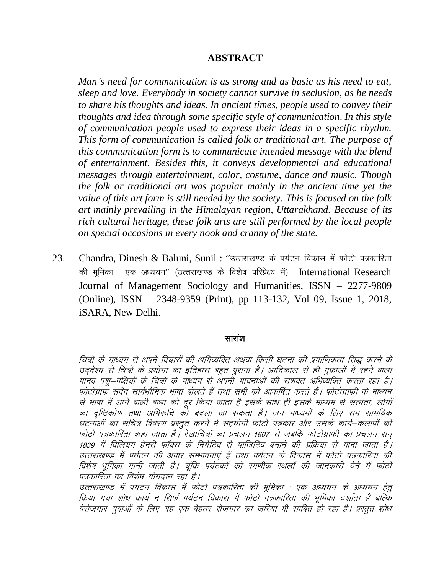Man's need for communication is as strong and as basic as his need to eat, sleep and love. Everybody in society cannot survive in seclusion, as he needs to share his thoughts and ideas. In ancient times, people used to convey their thoughts and idea through some specific style of communication. In this style of communication people used to express their ideas in a specific rhythm. This form of communication is called folk or traditional art. The purpose of this communication form is to communicate intended message with the blend of entertainment. Besides this, it conveys developmental and educational messages through entertainment, color, costume, dance and music. Though the folk or traditional art was popular mainly in the ancient time yet the value of this art form is still needed by the society. This is focused on the folk art mainly prevailing in the Himalayan region, Uttarakhand. Because of its rich cultural heritage, these folk arts are still performed by the local people on special occasions in every nook and cranny of the state.

Chandra, Dinesh & Baluni, Sunil: "उत्तराखण्ड के पर्यटन विकास में फोटो पत्रकारिता 23. की भूमिका : एक अध्ययन" (उत्तराखण्ड के विशेष परिप्रेक्ष्य में) International Research Journal of Management Sociology and Humanities, ISSN - 2277-9809 (Online), ISSN – 2348-9359 (Print), pp 113-132, Vol 09, Issue 1, 2018, iSARA, New Delhi.

#### सारांश

चित्रों के माध्यम से अपने विचारों की अभिव्यक्ति अथवा किसी घटना की प्रमाणिकता सिद्ध करने के उद्देश्य से चित्रों के प्रयोगा का इतिहास बहुत पुराना है। आदिकाल से ही गुफाओं में रहने वाला मानव पशु-पक्षियों के चित्रों के माध्यम से अपनी भावनाओं की सशक्त अभिव्यक्ति करता रहा है। फोटोग्राफ सदैव सार्वभौमिक भाषा बोलते हैं तथा सभी को आकर्षित करते हैं। फोटोग्राफी के माध्यम से भाषा में आने वाली बाधा को दूर किया जाता है इसके साथ ही इसके माध्यम से सत्यता, लोगों का दृष्टिकोण तथा अभिरूचि को बदला जा सकता है। जन माध्यमों के लिए सम सामयिक घटनाओं का सचित्र विवरण प्रस्तुत करने में सहयोगी फोटो पत्रकार और उसके कार्य–कलापों को फोटो पत्रकारिता कहा जाता है। रेखाचित्रों का प्रचलन 1607 से जबकि फोटोग्राफी का प्रचलन सन 1839 में विलियम हेनरी फॉक्स के निगेटिव से पाजिटिव बनाने की प्रक्रिया से माना जाता है। उत्तराखण्ड में पर्यटन की अपार सम्भावनाएं हैं तथा पर्यटन के विकास में फोटो पत्रकारिता की विशेष भूमिका मानी जाती है। चूंकि पर्यटकों को रमणीक स्थलों की जानकारी देने में फोटो पत्रकारिता का विशेष योगदान रहा है।

उत्तराखण्ड में पर्यटन विकास में फोटो पत्रकारिता की भूमिका : एक अध्ययन के अध्ययन हेतू किया गया शोध कार्य न सिर्फ पर्यटन विकास में फोटो पत्रकारिता की भूमिका दर्शाता है बल्कि बेरोजगार युवाओं के लिए यह एक बेहतर रोजगार का जरिया भी साबित हो रहा है। प्रस्तुत शोध